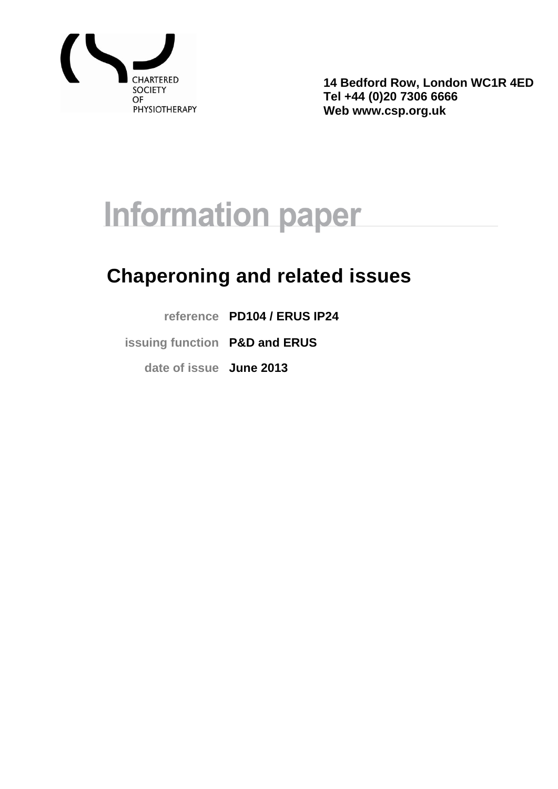

**14 Bedford Row, London WC1R 4ED Tel +44 (0)20 7306 6666 Web www.csp.org.uk**

# **Information paper**

# **Chaperoning and related issues**

**reference PD104 / ERUS IP24**

**issuing function P&D and ERUS**

**date of issue June 2013**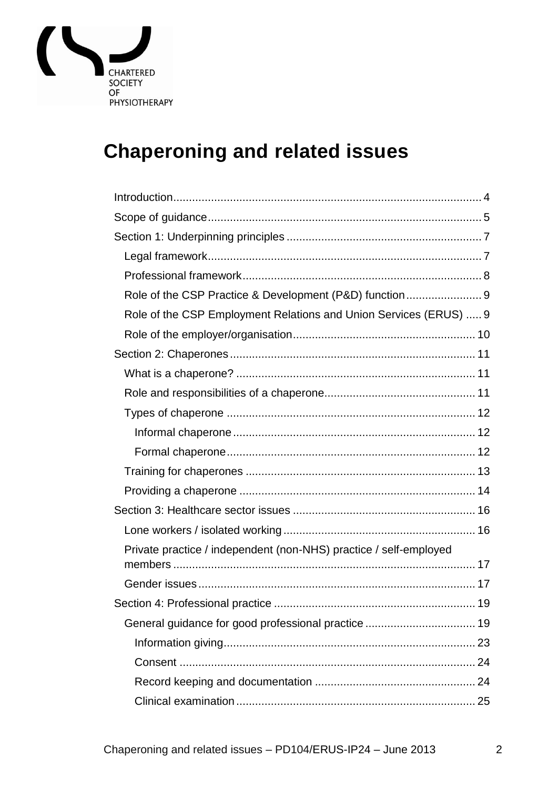

# **Chaperoning and related issues**

| Role of the CSP Practice & Development (P&D) function 9           |
|-------------------------------------------------------------------|
| Role of the CSP Employment Relations and Union Services (ERUS)  9 |
|                                                                   |
|                                                                   |
|                                                                   |
|                                                                   |
|                                                                   |
|                                                                   |
|                                                                   |
|                                                                   |
|                                                                   |
|                                                                   |
|                                                                   |
| Private practice / independent (non-NHS) practice / self-employed |
|                                                                   |
|                                                                   |
|                                                                   |
|                                                                   |
|                                                                   |
|                                                                   |
|                                                                   |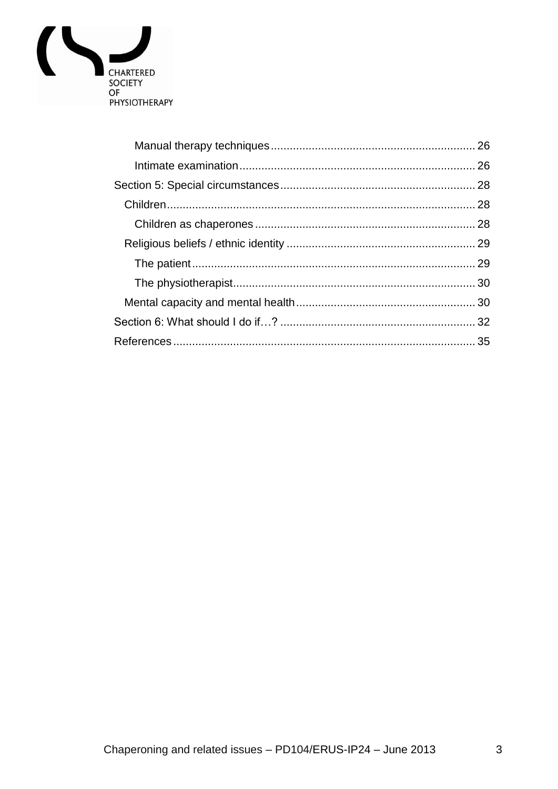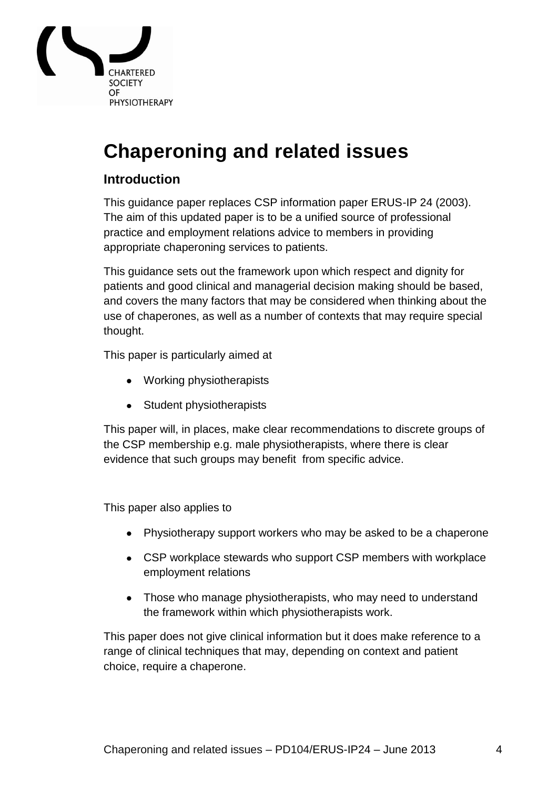

# **Chaperoning and related issues**

# <span id="page-3-0"></span>**Introduction**

This guidance paper replaces CSP information paper ERUS-IP 24 (2003). The aim of this updated paper is to be a unified source of professional practice and employment relations advice to members in providing appropriate chaperoning services to patients.

This guidance sets out the framework upon which respect and dignity for patients and good clinical and managerial decision making should be based, and covers the many factors that may be considered when thinking about the use of chaperones, as well as a number of contexts that may require special thought.

This paper is particularly aimed at

- Working physiotherapists
- Student physiotherapists

This paper will, in places, make clear recommendations to discrete groups of the CSP membership e.g. male physiotherapists, where there is clear evidence that such groups may benefit from specific advice.

This paper also applies to

- Physiotherapy support workers who may be asked to be a chaperone
- CSP workplace stewards who support CSP members with workplace employment relations
- Those who manage physiotherapists, who may need to understand the framework within which physiotherapists work.

This paper does not give clinical information but it does make reference to a range of clinical techniques that may, depending on context and patient choice, require a chaperone.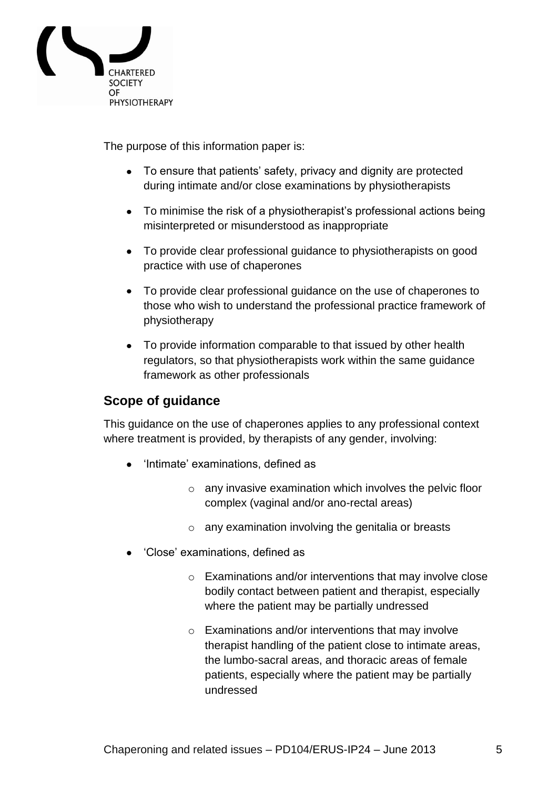

The purpose of this information paper is:

- To ensure that patients' safety, privacy and dignity are protected during intimate and/or close examinations by physiotherapists
- To minimise the risk of a physiotherapist's professional actions being misinterpreted or misunderstood as inappropriate
- To provide clear professional guidance to physiotherapists on good practice with use of chaperones
- To provide clear professional guidance on the use of chaperones to those who wish to understand the professional practice framework of physiotherapy
- To provide information comparable to that issued by other health regulators, so that physiotherapists work within the same guidance framework as other professionals

# <span id="page-4-0"></span>**Scope of guidance**

This guidance on the use of chaperones applies to any professional context where treatment is provided, by therapists of any gender, involving:

- 'Intimate' examinations, defined as
	- o any invasive examination which involves the pelvic floor complex (vaginal and/or ano-rectal areas)
	- o any examination involving the genitalia or breasts
- 'Close' examinations, defined as
	- o Examinations and/or interventions that may involve close bodily contact between patient and therapist, especially where the patient may be partially undressed
	- o Examinations and/or interventions that may involve therapist handling of the patient close to intimate areas, the lumbo-sacral areas, and thoracic areas of female patients, especially where the patient may be partially undressed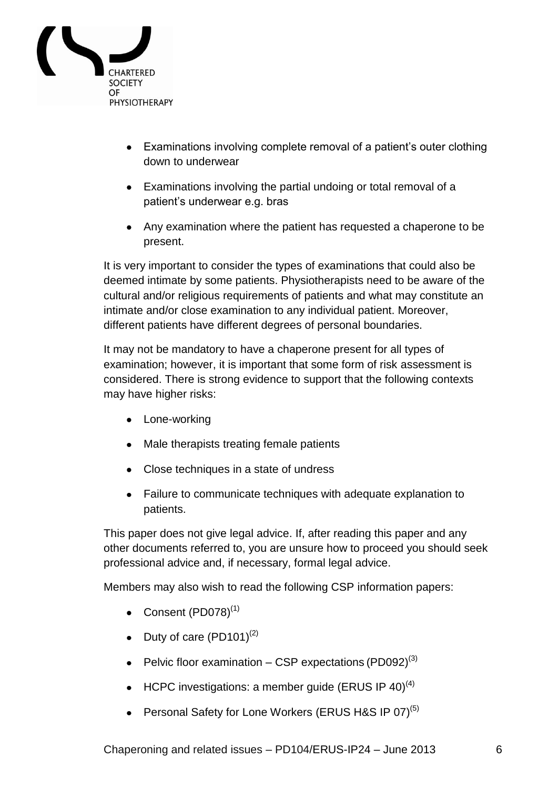

- Examinations involving complete removal of a patient's outer clothing down to underwear
- Examinations involving the partial undoing or total removal of a patient"s underwear e.g. bras
- Any examination where the patient has requested a chaperone to be present.

It is very important to consider the types of examinations that could also be deemed intimate by some patients. Physiotherapists need to be aware of the cultural and/or religious requirements of patients and what may constitute an intimate and/or close examination to any individual patient. Moreover, different patients have different degrees of personal boundaries.

It may not be mandatory to have a chaperone present for all types of examination; however, it is important that some form of risk assessment is considered. There is strong evidence to support that the following contexts may have higher risks:

- Lone-working
- Male therapists treating female patients
- Close techniques in a state of undress
- Failure to communicate techniques with adequate explanation to patients.

This paper does not give legal advice. If, after reading this paper and any other documents referred to, you are unsure how to proceed you should seek professional advice and, if necessary, formal legal advice.

Members may also wish to read the following CSP information papers:

- Consent (PD078)<sup>(1)</sup>
- Duty of care  $(PD101)^{(2)}$
- Pelvic floor examination CSP expectations (PD092)<sup>(3)</sup>
- HCPC investigations: a member guide (ERUS IP 40)<sup>(4)</sup>
- Personal Safety for Lone Workers (ERUS H&S IP 07)<sup>(5)</sup>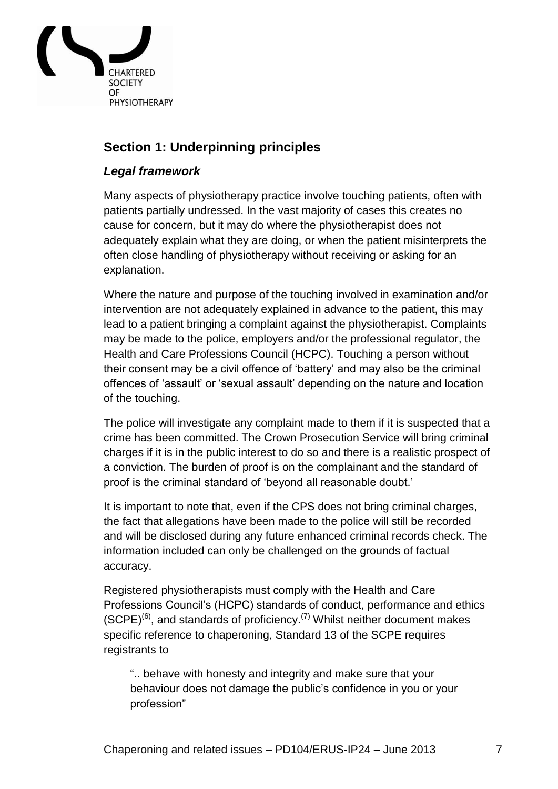

# <span id="page-6-0"></span>**Section 1: Underpinning principles**

# <span id="page-6-1"></span>*Legal framework*

Many aspects of physiotherapy practice involve touching patients, often with patients partially undressed. In the vast majority of cases this creates no cause for concern, but it may do where the physiotherapist does not adequately explain what they are doing, or when the patient misinterprets the often close handling of physiotherapy without receiving or asking for an explanation.

Where the nature and purpose of the touching involved in examination and/or intervention are not adequately explained in advance to the patient, this may lead to a patient bringing a complaint against the physiotherapist. Complaints may be made to the police, employers and/or the professional regulator, the Health and Care Professions Council (HCPC). Touching a person without their consent may be a civil offence of "battery" and may also be the criminal offences of "assault" or "sexual assault" depending on the nature and location of the touching.

The police will investigate any complaint made to them if it is suspected that a crime has been committed. The Crown Prosecution Service will bring criminal charges if it is in the public interest to do so and there is a realistic prospect of a conviction. The burden of proof is on the complainant and the standard of proof is the criminal standard of "beyond all reasonable doubt."

It is important to note that, even if the CPS does not bring criminal charges, the fact that allegations have been made to the police will still be recorded and will be disclosed during any future enhanced criminal records check. The information included can only be challenged on the grounds of factual accuracy.

Registered physiotherapists must comply with the Health and Care Professions Council"s (HCPC) standards of conduct, performance and ethics  $(SCPE)^{(6)}$ , and standards of proficiency.<sup>(7)</sup> Whilst neither document makes specific reference to chaperoning, Standard 13 of the SCPE requires registrants to

".. behave with honesty and integrity and make sure that your behaviour does not damage the public"s confidence in you or your profession"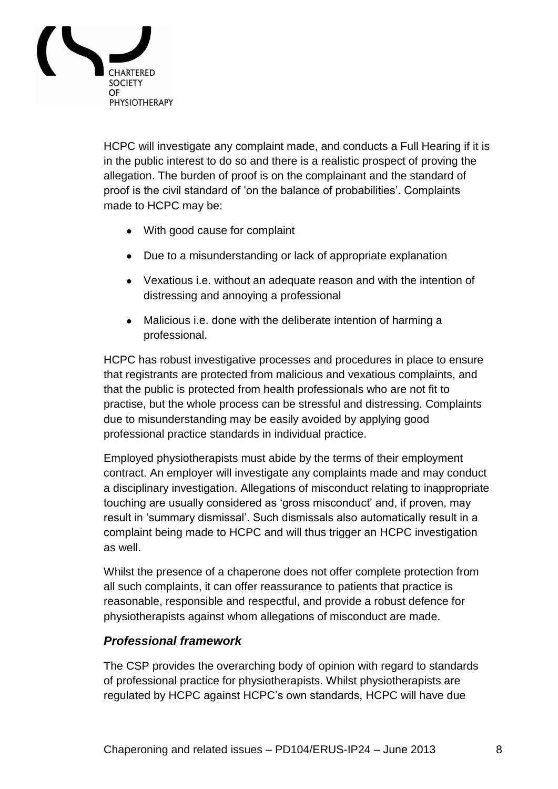

HCPC will investigate any complaint made, and conducts a Full Hearing if it is in the public interest to do so and there is a realistic prospect of proving the allegation. The burden of proof is on the complainant and the standard of proof is the civil standard of "on the balance of probabilities". Complaints made to HCPC may be:

- With good cause for complaint
- Due to a misunderstanding or lack of appropriate explanation
- Vexatious i.e. without an adequate reason and with the intention of distressing and annoying a professional
- Malicious i.e. done with the deliberate intention of harming a professional.

HCPC has robust investigative processes and procedures in place to ensure that registrants are protected from malicious and vexatious complaints, and that the public is protected from health professionals who are not fit to practise, but the whole process can be stressful and distressing. Complaints due to misunderstanding may be easily avoided by applying good professional practice standards in individual practice.

Employed physiotherapists must abide by the terms of their employment contract. An employer will investigate any complaints made and may conduct a disciplinary investigation. Allegations of misconduct relating to inappropriate touching are usually considered as "gross misconduct" and, if proven, may result in "summary dismissal". Such dismissals also automatically result in a complaint being made to HCPC and will thus trigger an HCPC investigation as well.

Whilst the presence of a chaperone does not offer complete protection from all such complaints, it can offer reassurance to patients that practice is reasonable, responsible and respectful, and provide a robust defence for physiotherapists against whom allegations of misconduct are made.

# <span id="page-7-0"></span>*Professional framework*

The CSP provides the overarching body of opinion with regard to standards of professional practice for physiotherapists. Whilst physiotherapists are regulated by HCPC against HCPC"s own standards, HCPC will have due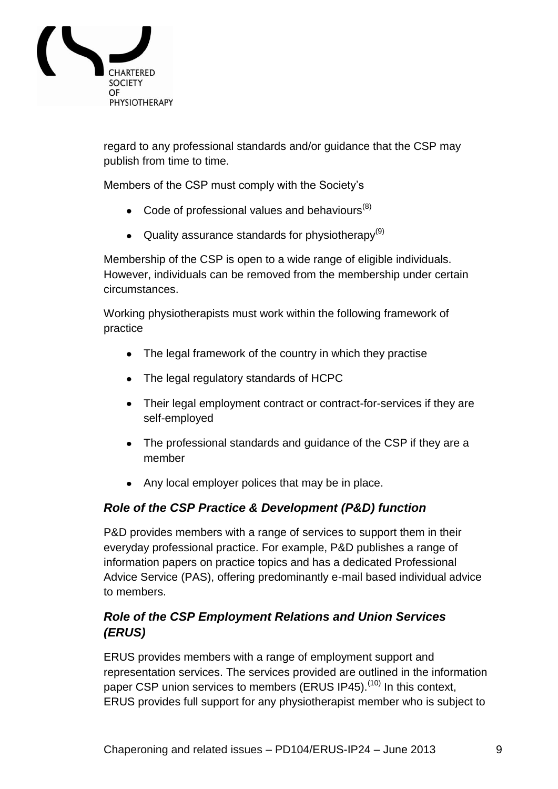

regard to any professional standards and/or guidance that the CSP may publish from time to time.

Members of the CSP must comply with the Society"s

- $\bullet$  Code of professional values and behaviours<sup>(8)</sup>
- Quality assurance standards for physiotherapy<sup>(9)</sup>

Membership of the CSP is open to a wide range of eligible individuals. However, individuals can be removed from the membership under certain circumstances.

Working physiotherapists must work within the following framework of practice

- The legal framework of the country in which they practise
- The legal regulatory standards of HCPC
- Their legal employment contract or contract-for-services if they are self-employed
- The professional standards and guidance of the CSP if they are a member
- Any local employer polices that may be in place.

# <span id="page-8-0"></span>*Role of the CSP Practice & Development (P&D) function*

P&D provides members with a range of services to support them in their everyday professional practice. For example, P&D publishes a range of information papers on practice topics and has a dedicated Professional Advice Service (PAS), offering predominantly e-mail based individual advice to members.

# <span id="page-8-1"></span>*Role of the CSP Employment Relations and Union Services (ERUS)*

ERUS provides members with a range of employment support and representation services. The services provided are outlined in the information paper CSP union services to members (ERUS IP45).<sup>(10)</sup> In this context, ERUS provides full support for any physiotherapist member who is subject to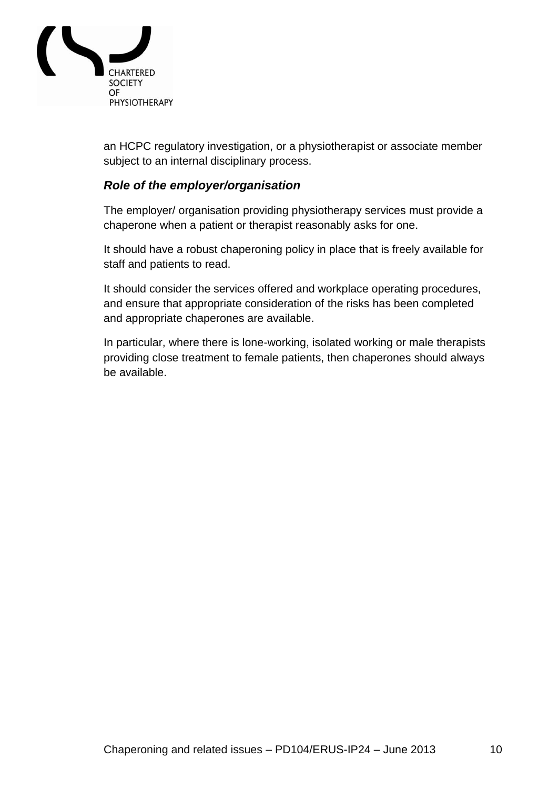

an HCPC regulatory investigation, or a physiotherapist or associate member subject to an internal disciplinary process.

### <span id="page-9-0"></span>*Role of the employer/organisation*

The employer/ organisation providing physiotherapy services must provide a chaperone when a patient or therapist reasonably asks for one.

It should have a robust chaperoning policy in place that is freely available for staff and patients to read.

It should consider the services offered and workplace operating procedures, and ensure that appropriate consideration of the risks has been completed and appropriate chaperones are available.

In particular, where there is lone-working, isolated working or male therapists providing close treatment to female patients, then chaperones should always be available.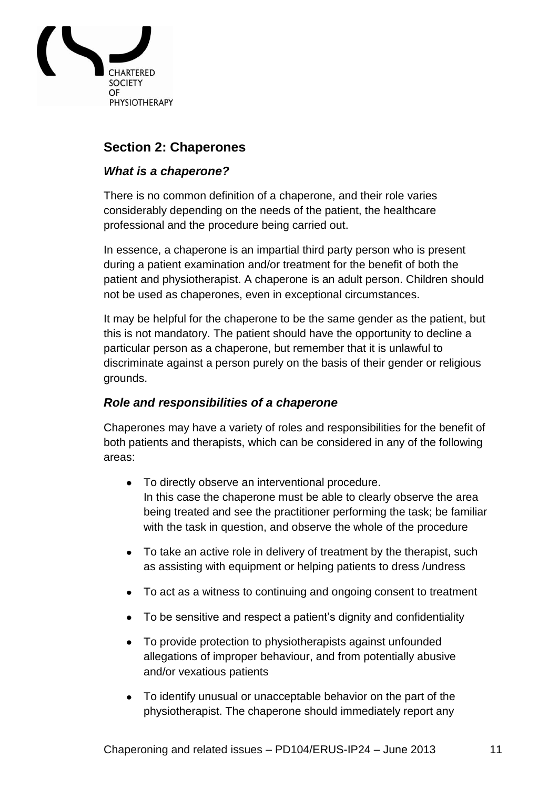

# <span id="page-10-0"></span>**Section 2: Chaperones**

### <span id="page-10-1"></span>*What is a chaperone?*

There is no common definition of a chaperone, and their role varies considerably depending on the needs of the patient, the healthcare professional and the procedure being carried out.

In essence, a chaperone is an impartial third party person who is present during a patient examination and/or treatment for the benefit of both the patient and physiotherapist. A chaperone is an adult person. Children should not be used as chaperones, even in exceptional circumstances.

It may be helpful for the chaperone to be the same gender as the patient, but this is not mandatory. The patient should have the opportunity to decline a particular person as a chaperone, but remember that it is unlawful to discriminate against a person purely on the basis of their gender or religious grounds.

# <span id="page-10-2"></span>*Role and responsibilities of a chaperone*

Chaperones may have a variety of roles and responsibilities for the benefit of both patients and therapists, which can be considered in any of the following areas:

- To directly observe an interventional procedure. In this case the chaperone must be able to clearly observe the area being treated and see the practitioner performing the task; be familiar with the task in question, and observe the whole of the procedure
- To take an active role in delivery of treatment by the therapist, such as assisting with equipment or helping patients to dress /undress
- To act as a witness to continuing and ongoing consent to treatment
- To be sensitive and respect a patient's dignity and confidentiality
- To provide protection to physiotherapists against unfounded allegations of improper behaviour, and from potentially abusive and/or vexatious patients
- To identify unusual or unacceptable behavior on the part of the physiotherapist. The chaperone should immediately report any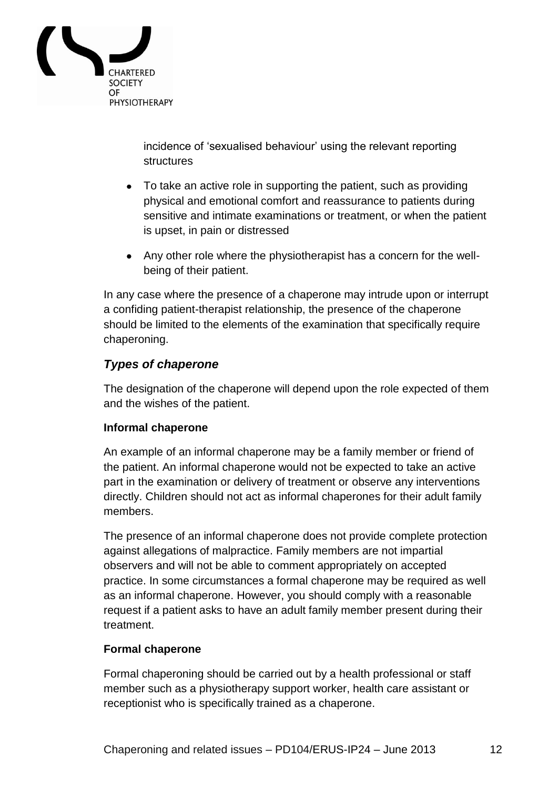

incidence of "sexualised behaviour" using the relevant reporting **structures** 

- To take an active role in supporting the patient, such as providing physical and emotional comfort and reassurance to patients during sensitive and intimate examinations or treatment, or when the patient is upset, in pain or distressed
- Any other role where the physiotherapist has a concern for the wellbeing of their patient.

In any case where the presence of a chaperone may intrude upon or interrupt a confiding patient-therapist relationship, the presence of the chaperone should be limited to the elements of the examination that specifically require chaperoning.

# <span id="page-11-0"></span>*Types of chaperone*

The designation of the chaperone will depend upon the role expected of them and the wishes of the patient.

#### <span id="page-11-1"></span>**Informal chaperone**

An example of an informal chaperone may be a family member or friend of the patient. An informal chaperone would not be expected to take an active part in the examination or delivery of treatment or observe any interventions directly. Children should not act as informal chaperones for their adult family members.

The presence of an informal chaperone does not provide complete protection against allegations of malpractice. Family members are not impartial observers and will not be able to comment appropriately on accepted practice. In some circumstances a formal chaperone may be required as well as an informal chaperone. However, you should comply with a reasonable request if a patient asks to have an adult family member present during their treatment.

#### <span id="page-11-2"></span>**Formal chaperone**

Formal chaperoning should be carried out by a health professional or staff member such as a physiotherapy support worker, health care assistant or receptionist who is specifically trained as a chaperone.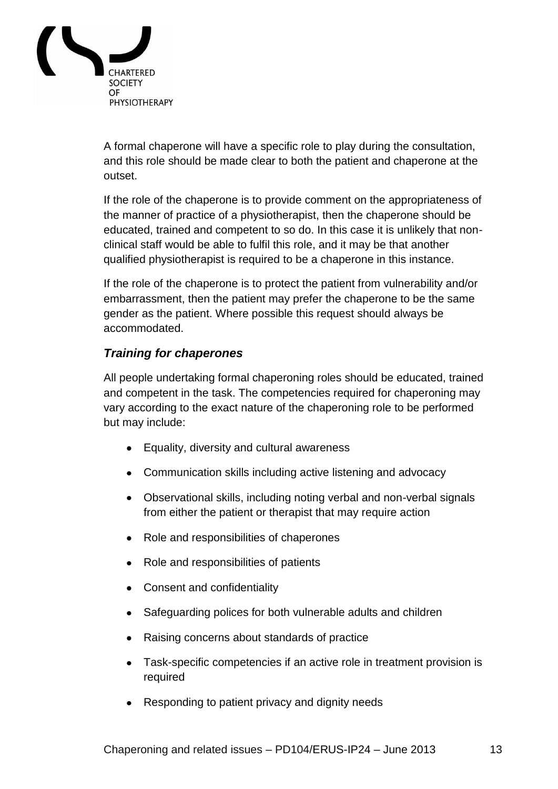

A formal chaperone will have a specific role to play during the consultation, and this role should be made clear to both the patient and chaperone at the outset.

If the role of the chaperone is to provide comment on the appropriateness of the manner of practice of a physiotherapist, then the chaperone should be educated, trained and competent to so do. In this case it is unlikely that nonclinical staff would be able to fulfil this role, and it may be that another qualified physiotherapist is required to be a chaperone in this instance.

If the role of the chaperone is to protect the patient from vulnerability and/or embarrassment, then the patient may prefer the chaperone to be the same gender as the patient. Where possible this request should always be accommodated.

# <span id="page-12-0"></span>*Training for chaperones*

All people undertaking formal chaperoning roles should be educated, trained and competent in the task. The competencies required for chaperoning may vary according to the exact nature of the chaperoning role to be performed but may include:

- Equality, diversity and cultural awareness
- Communication skills including active listening and advocacy
- Observational skills, including noting verbal and non-verbal signals from either the patient or therapist that may require action
- Role and responsibilities of chaperones
- Role and responsibilities of patients
- Consent and confidentiality
- Safeguarding polices for both vulnerable adults and children
- Raising concerns about standards of practice
- Task-specific competencies if an active role in treatment provision is required
- Responding to patient privacy and dignity needs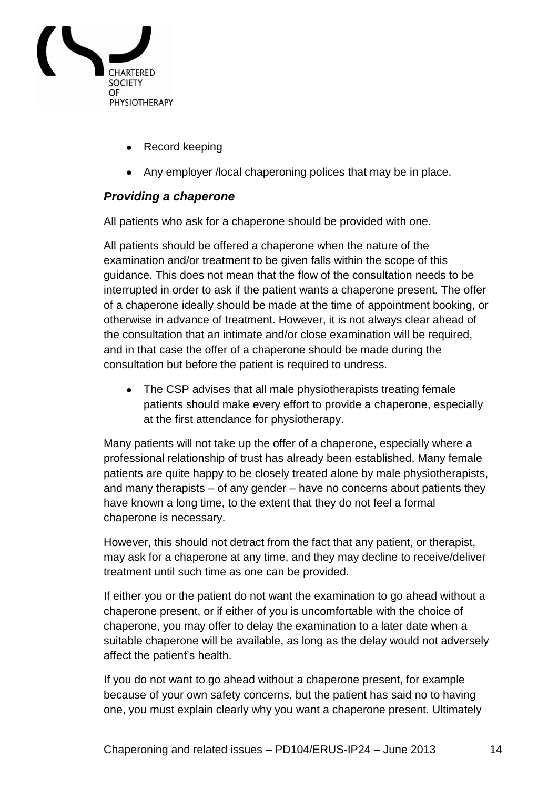

- Record keeping
- Any employer /local chaperoning polices that may be in place.

# <span id="page-13-0"></span>*Providing a chaperone*

All patients who ask for a chaperone should be provided with one.

All patients should be offered a chaperone when the nature of the examination and/or treatment to be given falls within the scope of this guidance. This does not mean that the flow of the consultation needs to be interrupted in order to ask if the patient wants a chaperone present. The offer of a chaperone ideally should be made at the time of appointment booking, or otherwise in advance of treatment. However, it is not always clear ahead of the consultation that an intimate and/or close examination will be required, and in that case the offer of a chaperone should be made during the consultation but before the patient is required to undress.

• The CSP advises that all male physiotherapists treating female patients should make every effort to provide a chaperone, especially at the first attendance for physiotherapy.

Many patients will not take up the offer of a chaperone, especially where a professional relationship of trust has already been established. Many female patients are quite happy to be closely treated alone by male physiotherapists, and many therapists – of any gender – have no concerns about patients they have known a long time, to the extent that they do not feel a formal chaperone is necessary.

However, this should not detract from the fact that any patient, or therapist, may ask for a chaperone at any time, and they may decline to receive/deliver treatment until such time as one can be provided.

If either you or the patient do not want the examination to go ahead without a chaperone present, or if either of you is uncomfortable with the choice of chaperone, you may offer to delay the examination to a later date when a suitable chaperone will be available, as long as the delay would not adversely affect the patient"s health.

If you do not want to go ahead without a chaperone present, for example because of your own safety concerns, but the patient has said no to having one, you must explain clearly why you want a chaperone present. Ultimately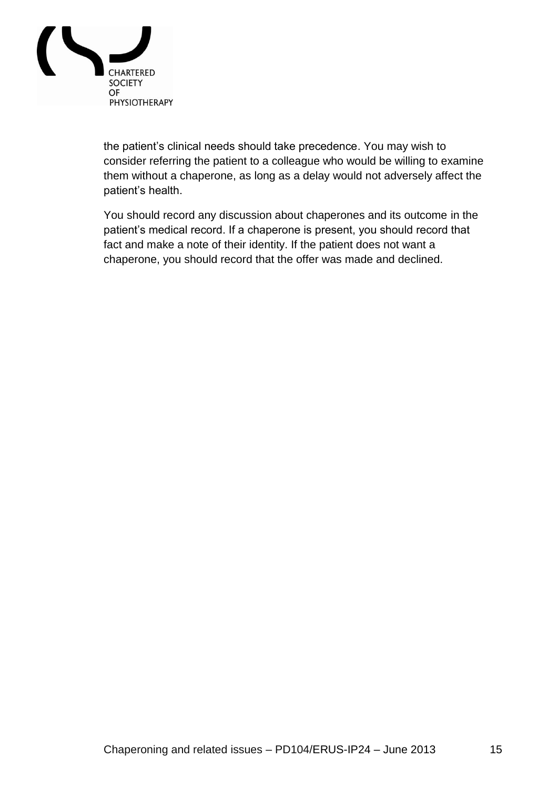

the patient"s clinical needs should take precedence. You may wish to consider referring the patient to a colleague who would be willing to examine them without a chaperone, as long as a delay would not adversely affect the patient's health.

You should record any discussion about chaperones and its outcome in the patient's medical record. If a chaperone is present, you should record that fact and make a note of their identity. If the patient does not want a chaperone, you should record that the offer was made and declined.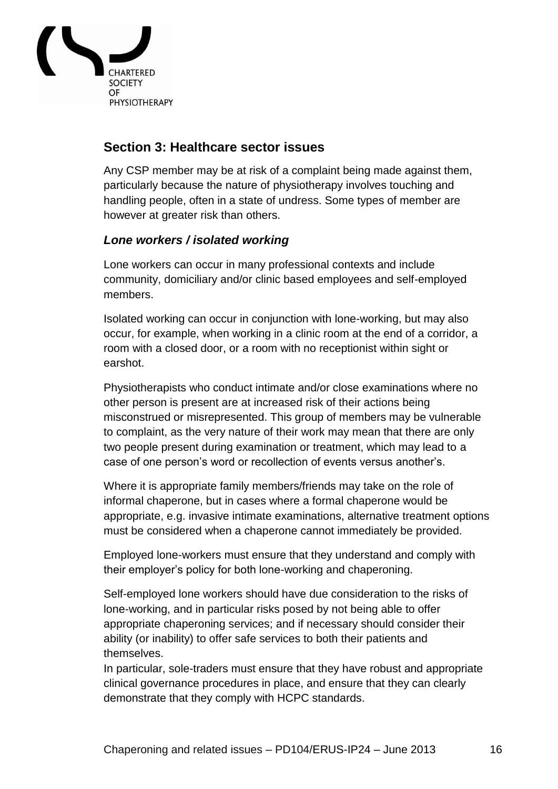

# <span id="page-15-0"></span>**Section 3: Healthcare sector issues**

Any CSP member may be at risk of a complaint being made against them, particularly because the nature of physiotherapy involves touching and handling people, often in a state of undress. Some types of member are however at greater risk than others.

# <span id="page-15-1"></span>*Lone workers / isolated working*

Lone workers can occur in many professional contexts and include community, domiciliary and/or clinic based employees and self-employed members.

Isolated working can occur in conjunction with lone-working, but may also occur, for example, when working in a clinic room at the end of a corridor, a room with a closed door, or a room with no receptionist within sight or earshot.

Physiotherapists who conduct intimate and/or close examinations where no other person is present are at increased risk of their actions being misconstrued or misrepresented. This group of members may be vulnerable to complaint, as the very nature of their work may mean that there are only two people present during examination or treatment, which may lead to a case of one person"s word or recollection of events versus another"s.

Where it is appropriate family members/friends may take on the role of informal chaperone, but in cases where a formal chaperone would be appropriate, e.g. invasive intimate examinations, alternative treatment options must be considered when a chaperone cannot immediately be provided.

Employed lone-workers must ensure that they understand and comply with their employer"s policy for both lone-working and chaperoning.

Self-employed lone workers should have due consideration to the risks of lone-working, and in particular risks posed by not being able to offer appropriate chaperoning services; and if necessary should consider their ability (or inability) to offer safe services to both their patients and themselves.

In particular, sole-traders must ensure that they have robust and appropriate clinical governance procedures in place, and ensure that they can clearly demonstrate that they comply with HCPC standards.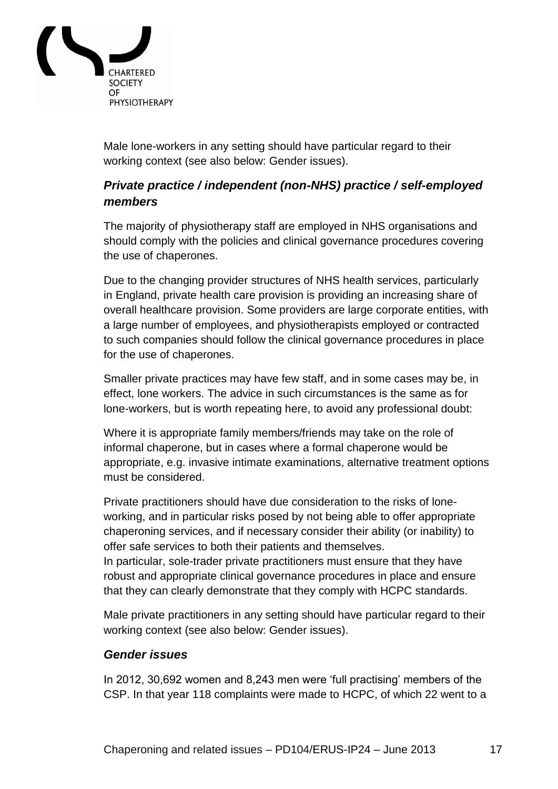

Male lone-workers in any setting should have particular regard to their working context (see also below: Gender issues).

# <span id="page-16-0"></span>*Private practice / independent (non-NHS) practice / self-employed members*

The majority of physiotherapy staff are employed in NHS organisations and should comply with the policies and clinical governance procedures covering the use of chaperones.

Due to the changing provider structures of NHS health services, particularly in England, private health care provision is providing an increasing share of overall healthcare provision. Some providers are large corporate entities, with a large number of employees, and physiotherapists employed or contracted to such companies should follow the clinical governance procedures in place for the use of chaperones.

Smaller private practices may have few staff, and in some cases may be, in effect, lone workers. The advice in such circumstances is the same as for lone-workers, but is worth repeating here, to avoid any professional doubt:

Where it is appropriate family members/friends may take on the role of informal chaperone, but in cases where a formal chaperone would be appropriate, e.g. invasive intimate examinations, alternative treatment options must be considered.

Private practitioners should have due consideration to the risks of loneworking, and in particular risks posed by not being able to offer appropriate chaperoning services, and if necessary consider their ability (or inability) to offer safe services to both their patients and themselves.

In particular, sole-trader private practitioners must ensure that they have robust and appropriate clinical governance procedures in place and ensure that they can clearly demonstrate that they comply with HCPC standards.

Male private practitioners in any setting should have particular regard to their working context (see also below: Gender issues).

#### <span id="page-16-1"></span>*Gender issues*

In 2012, 30,692 women and 8,243 men were 'full practising' members of the CSP. In that year 118 complaints were made to HCPC, of which 22 went to a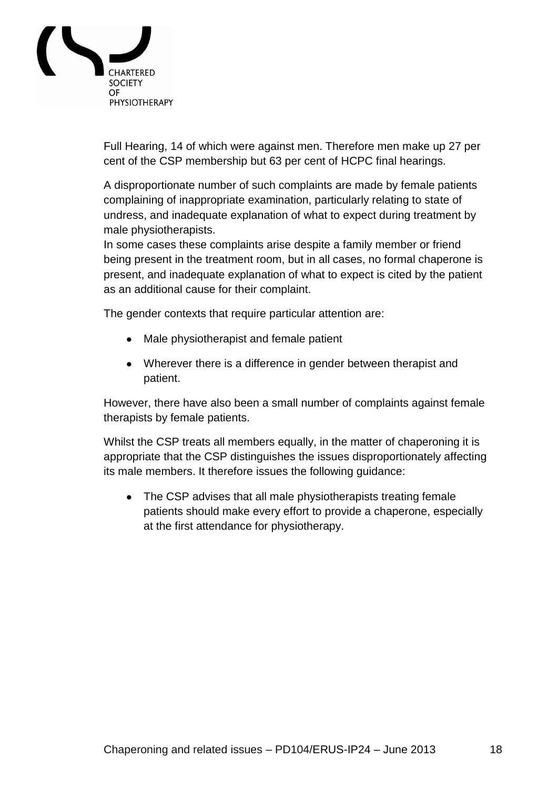

Full Hearing, 14 of which were against men. Therefore men make up 27 per cent of the CSP membership but 63 per cent of HCPC final hearings.

A disproportionate number of such complaints are made by female patients complaining of inappropriate examination, particularly relating to state of undress, and inadequate explanation of what to expect during treatment by male physiotherapists.

In some cases these complaints arise despite a family member or friend being present in the treatment room, but in all cases, no formal chaperone is present, and inadequate explanation of what to expect is cited by the patient as an additional cause for their complaint.

The gender contexts that require particular attention are:

- Male physiotherapist and female patient
- Wherever there is a difference in gender between therapist and patient.

However, there have also been a small number of complaints against female therapists by female patients.

Whilst the CSP treats all members equally, in the matter of chaperoning it is appropriate that the CSP distinguishes the issues disproportionately affecting its male members. It therefore issues the following guidance:

• The CSP advises that all male physiotherapists treating female patients should make every effort to provide a chaperone, especially at the first attendance for physiotherapy.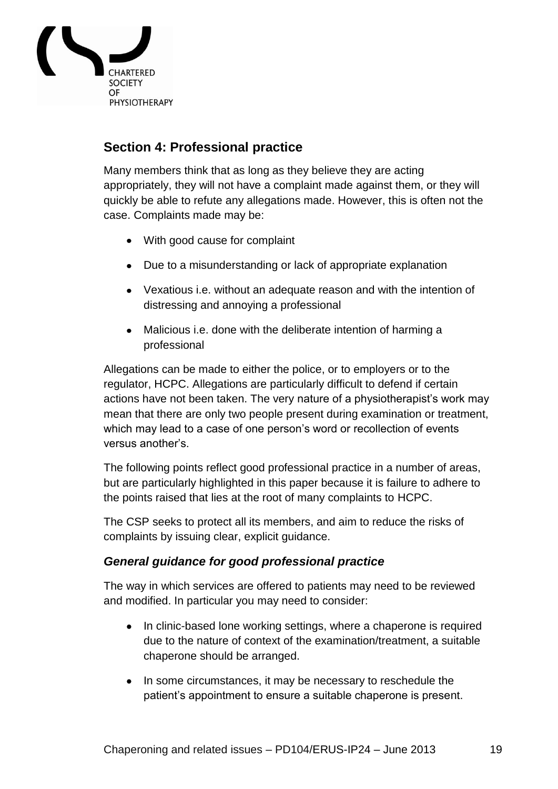

# <span id="page-18-0"></span>**Section 4: Professional practice**

Many members think that as long as they believe they are acting appropriately, they will not have a complaint made against them, or they will quickly be able to refute any allegations made. However, this is often not the case. Complaints made may be:

- With good cause for complaint
- Due to a misunderstanding or lack of appropriate explanation
- Vexatious i.e. without an adequate reason and with the intention of distressing and annoying a professional
- Malicious i.e. done with the deliberate intention of harming a professional

Allegations can be made to either the police, or to employers or to the regulator, HCPC. Allegations are particularly difficult to defend if certain actions have not been taken. The very nature of a physiotherapist's work may mean that there are only two people present during examination or treatment, which may lead to a case of one person"s word or recollection of events versus another"s.

The following points reflect good professional practice in a number of areas, but are particularly highlighted in this paper because it is failure to adhere to the points raised that lies at the root of many complaints to HCPC.

The CSP seeks to protect all its members, and aim to reduce the risks of complaints by issuing clear, explicit guidance.

# <span id="page-18-1"></span>*General guidance for good professional practice*

The way in which services are offered to patients may need to be reviewed and modified. In particular you may need to consider:

- In clinic-based lone working settings, where a chaperone is required due to the nature of context of the examination/treatment, a suitable chaperone should be arranged.
- In some circumstances, it may be necessary to reschedule the patient"s appointment to ensure a suitable chaperone is present.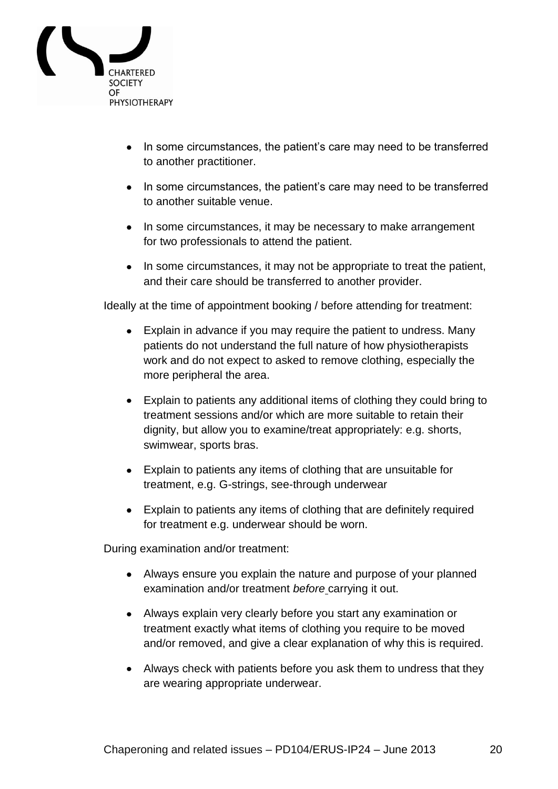

- In some circumstances, the patient's care may need to be transferred to another practitioner.
- In some circumstances, the patient's care may need to be transferred to another suitable venue.
- In some circumstances, it may be necessary to make arrangement for two professionals to attend the patient.
- In some circumstances, it may not be appropriate to treat the patient, and their care should be transferred to another provider.

Ideally at the time of appointment booking / before attending for treatment:

- Explain in advance if you may require the patient to undress. Many patients do not understand the full nature of how physiotherapists work and do not expect to asked to remove clothing, especially the more peripheral the area.
- Explain to patients any additional items of clothing they could bring to treatment sessions and/or which are more suitable to retain their dignity, but allow you to examine/treat appropriately: e.g. shorts, swimwear, sports bras.
- Explain to patients any items of clothing that are unsuitable for treatment, e.g. G-strings, see-through underwear
- Explain to patients any items of clothing that are definitely required for treatment e.g. underwear should be worn.

During examination and/or treatment:

- Always ensure you explain the nature and purpose of your planned examination and/or treatment *before* carrying it out.
- Always explain very clearly before you start any examination or treatment exactly what items of clothing you require to be moved and/or removed, and give a clear explanation of why this is required.
- Always check with patients before you ask them to undress that they are wearing appropriate underwear.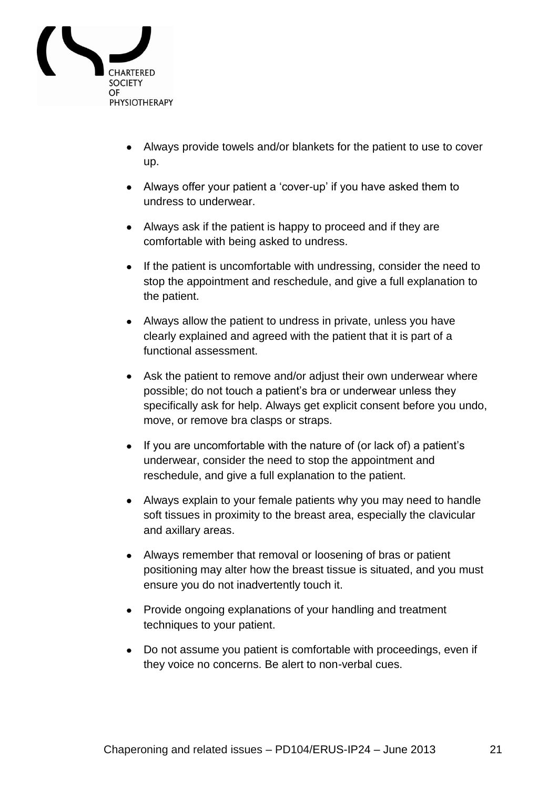

- Always provide towels and/or blankets for the patient to use to cover up.
- Always offer your patient a 'cover-up' if you have asked them to undress to underwear.
- Always ask if the patient is happy to proceed and if they are comfortable with being asked to undress.
- If the patient is uncomfortable with undressing, consider the need to stop the appointment and reschedule, and give a full explanation to the patient.
- Always allow the patient to undress in private, unless you have clearly explained and agreed with the patient that it is part of a functional assessment.
- Ask the patient to remove and/or adjust their own underwear where possible; do not touch a patient"s bra or underwear unless they specifically ask for help. Always get explicit consent before you undo, move, or remove bra clasps or straps.
- If you are uncomfortable with the nature of (or lack of) a patient's underwear, consider the need to stop the appointment and reschedule, and give a full explanation to the patient.
- Always explain to your female patients why you may need to handle soft tissues in proximity to the breast area, especially the clavicular and axillary areas.
- Always remember that removal or loosening of bras or patient positioning may alter how the breast tissue is situated, and you must ensure you do not inadvertently touch it.
- Provide ongoing explanations of your handling and treatment techniques to your patient.
- Do not assume you patient is comfortable with proceedings, even if they voice no concerns. Be alert to non-verbal cues.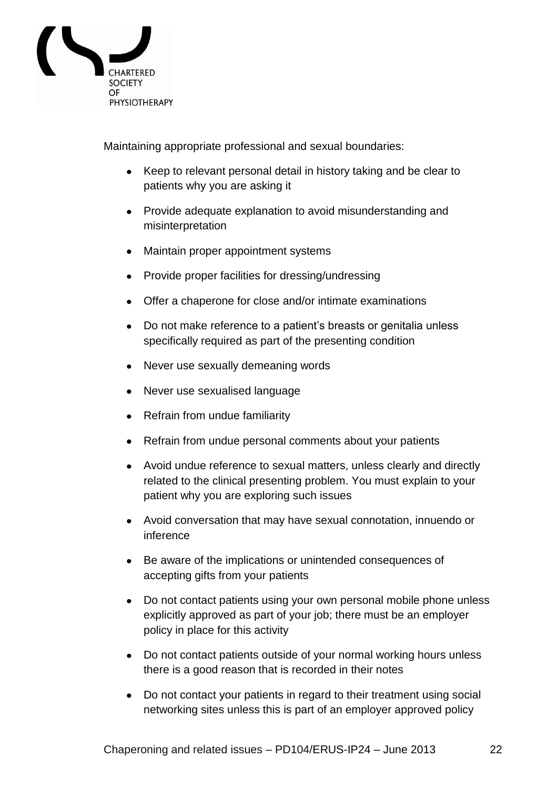

Maintaining appropriate professional and sexual boundaries:

- Keep to relevant personal detail in history taking and be clear to patients why you are asking it
- Provide adequate explanation to avoid misunderstanding and misinterpretation
- Maintain proper appointment systems
- Provide proper facilities for dressing/undressing
- Offer a chaperone for close and/or intimate examinations
- Do not make reference to a patient"s breasts or genitalia unless specifically required as part of the presenting condition
- Never use sexually demeaning words
- Never use sexualised language
- Refrain from undue familiarity
- Refrain from undue personal comments about your patients
- Avoid undue reference to sexual matters, unless clearly and directly related to the clinical presenting problem. You must explain to your patient why you are exploring such issues
- Avoid conversation that may have sexual connotation, innuendo or inference
- Be aware of the implications or unintended consequences of accepting gifts from your patients
- Do not contact patients using your own personal mobile phone unless explicitly approved as part of your job; there must be an employer policy in place for this activity
- Do not contact patients outside of your normal working hours unless there is a good reason that is recorded in their notes
- Do not contact your patients in regard to their treatment using social networking sites unless this is part of an employer approved policy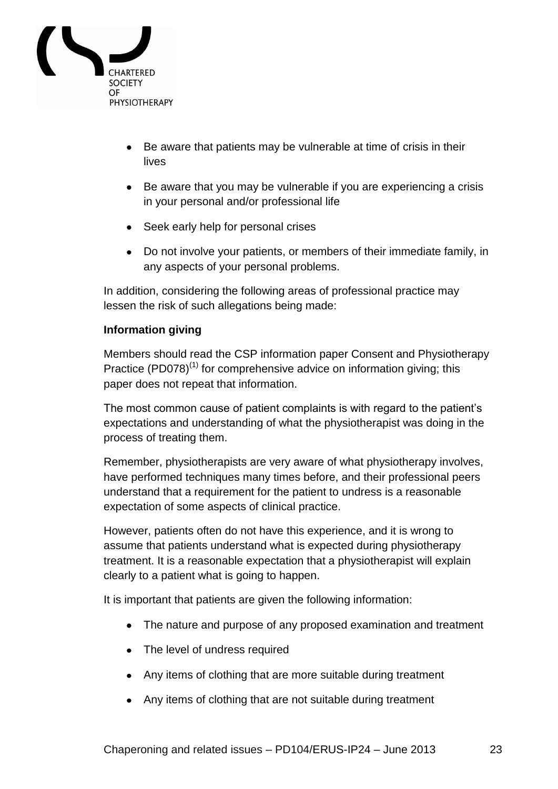

- Be aware that patients may be vulnerable at time of crisis in their lives
- Be aware that you may be vulnerable if you are experiencing a crisis in your personal and/or professional life
- Seek early help for personal crises
- Do not involve your patients, or members of their immediate family, in any aspects of your personal problems.

In addition, considering the following areas of professional practice may lessen the risk of such allegations being made:

### <span id="page-22-0"></span>**Information giving**

Members should read the CSP information paper Consent and Physiotherapy Practice (PD078)<sup>(1)</sup> for comprehensive advice on information giving; this paper does not repeat that information.

The most common cause of patient complaints is with regard to the patient"s expectations and understanding of what the physiotherapist was doing in the process of treating them.

Remember, physiotherapists are very aware of what physiotherapy involves, have performed techniques many times before, and their professional peers understand that a requirement for the patient to undress is a reasonable expectation of some aspects of clinical practice.

However, patients often do not have this experience, and it is wrong to assume that patients understand what is expected during physiotherapy treatment. It is a reasonable expectation that a physiotherapist will explain clearly to a patient what is going to happen.

It is important that patients are given the following information:

- The nature and purpose of any proposed examination and treatment
- The level of undress required
- Any items of clothing that are more suitable during treatment
- Any items of clothing that are not suitable during treatment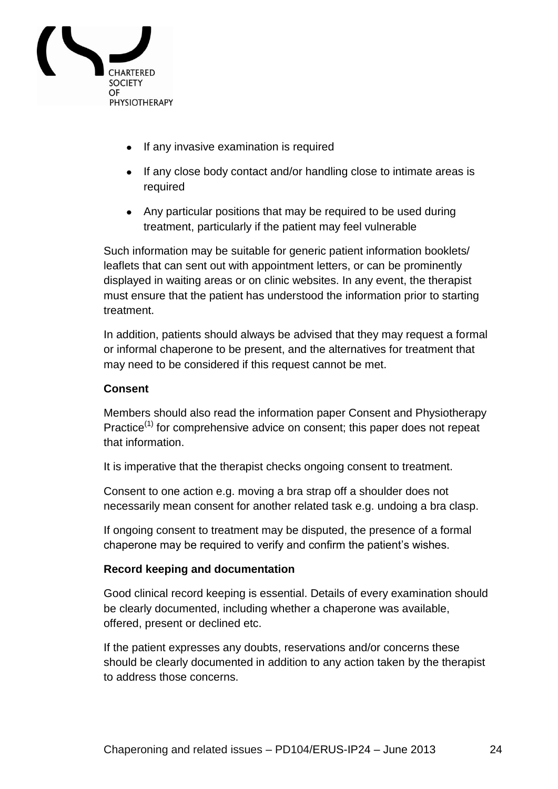

- If any invasive examination is required
- If any close body contact and/or handling close to intimate areas is required
- Any particular positions that may be required to be used during treatment, particularly if the patient may feel vulnerable

Such information may be suitable for generic patient information booklets/ leaflets that can sent out with appointment letters, or can be prominently displayed in waiting areas or on clinic websites. In any event, the therapist must ensure that the patient has understood the information prior to starting treatment.

In addition, patients should always be advised that they may request a formal or informal chaperone to be present, and the alternatives for treatment that may need to be considered if this request cannot be met.

#### <span id="page-23-0"></span>**Consent**

Members should also read the information paper Consent and Physiotherapy Practice<sup>(1)</sup> for comprehensive advice on consent; this paper does not repeat that information.

It is imperative that the therapist checks ongoing consent to treatment.

Consent to one action e.g. moving a bra strap off a shoulder does not necessarily mean consent for another related task e.g. undoing a bra clasp.

If ongoing consent to treatment may be disputed, the presence of a formal chaperone may be required to verify and confirm the patient's wishes.

#### <span id="page-23-1"></span>**Record keeping and documentation**

Good clinical record keeping is essential. Details of every examination should be clearly documented, including whether a chaperone was available, offered, present or declined etc.

If the patient expresses any doubts, reservations and/or concerns these should be clearly documented in addition to any action taken by the therapist to address those concerns.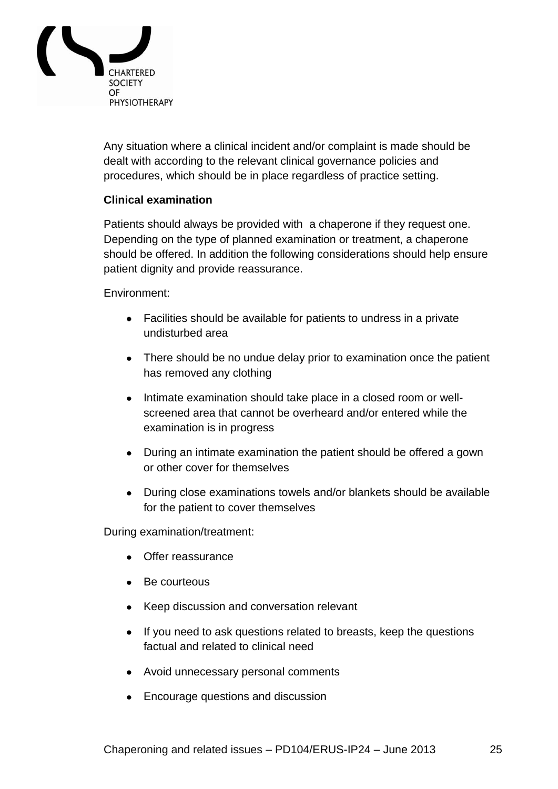

Any situation where a clinical incident and/or complaint is made should be dealt with according to the relevant clinical governance policies and procedures, which should be in place regardless of practice setting.

#### <span id="page-24-0"></span>**Clinical examination**

Patients should always be provided with a chaperone if they request one. Depending on the type of planned examination or treatment, a chaperone should be offered. In addition the following considerations should help ensure patient dignity and provide reassurance.

Environment:

- Facilities should be available for patients to undress in a private undisturbed area
- There should be no undue delay prior to examination once the patient has removed any clothing
- Intimate examination should take place in a closed room or wellscreened area that cannot be overheard and/or entered while the examination is in progress
- During an intimate examination the patient should be offered a gown or other cover for themselves
- During close examinations towels and/or blankets should be available for the patient to cover themselves

During examination/treatment:

- Offer reassurance
- Be courteous
- Keep discussion and conversation relevant
- If you need to ask questions related to breasts, keep the questions factual and related to clinical need
- Avoid unnecessary personal comments
- Encourage questions and discussion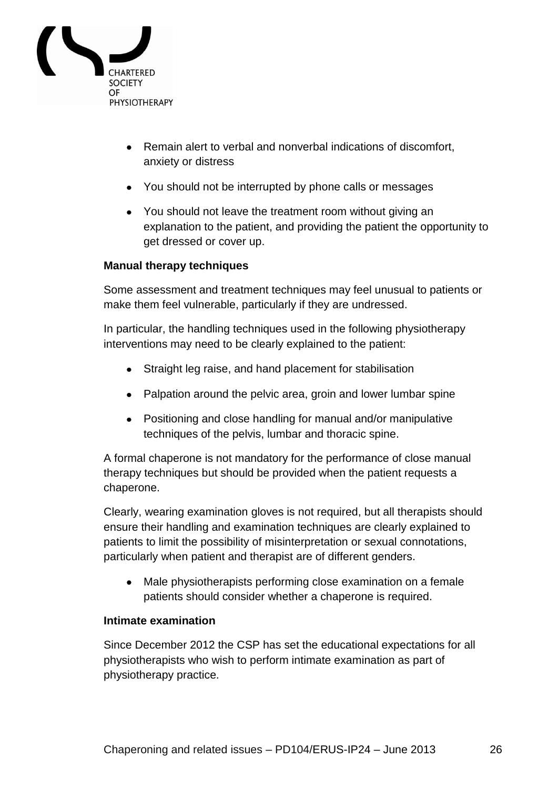

- Remain alert to verbal and nonverbal indications of discomfort, anxiety or distress
- You should not be interrupted by phone calls or messages
- You should not leave the treatment room without giving an explanation to the patient, and providing the patient the opportunity to get dressed or cover up.

#### <span id="page-25-0"></span>**Manual therapy techniques**

Some assessment and treatment techniques may feel unusual to patients or make them feel vulnerable, particularly if they are undressed.

In particular, the handling techniques used in the following physiotherapy interventions may need to be clearly explained to the patient:

- Straight leg raise, and hand placement for stabilisation
- Palpation around the pelvic area, groin and lower lumbar spine
- Positioning and close handling for manual and/or manipulative techniques of the pelvis, lumbar and thoracic spine.

A formal chaperone is not mandatory for the performance of close manual therapy techniques but should be provided when the patient requests a chaperone.

Clearly, wearing examination gloves is not required, but all therapists should ensure their handling and examination techniques are clearly explained to patients to limit the possibility of misinterpretation or sexual connotations, particularly when patient and therapist are of different genders.

Male physiotherapists performing close examination on a female patients should consider whether a chaperone is required.

#### <span id="page-25-1"></span>**Intimate examination**

Since December 2012 the CSP has set the educational expectations for all physiotherapists who wish to perform intimate examination as part of physiotherapy practice.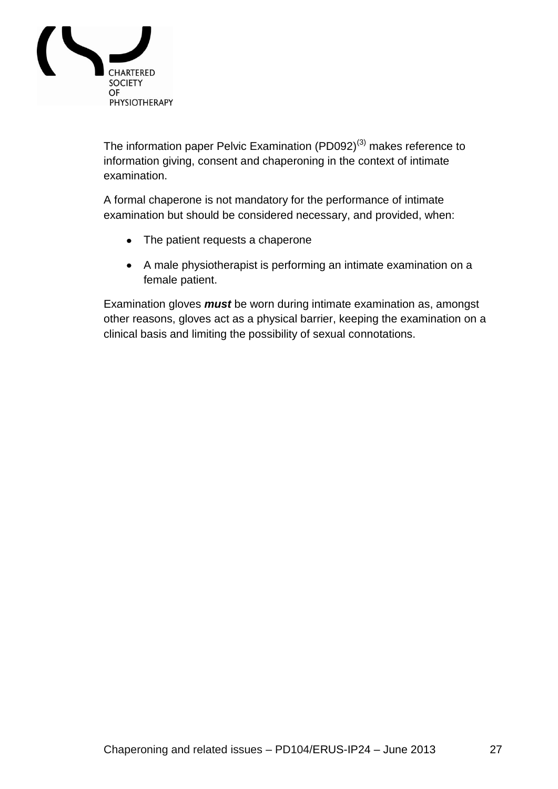

The information paper Pelvic Examination (PD092)<sup>(3)</sup> makes reference to information giving, consent and chaperoning in the context of intimate examination.

A formal chaperone is not mandatory for the performance of intimate examination but should be considered necessary, and provided, when:

- The patient requests a chaperone
- A male physiotherapist is performing an intimate examination on a female patient.

Examination gloves *must* be worn during intimate examination as, amongst other reasons, gloves act as a physical barrier, keeping the examination on a clinical basis and limiting the possibility of sexual connotations.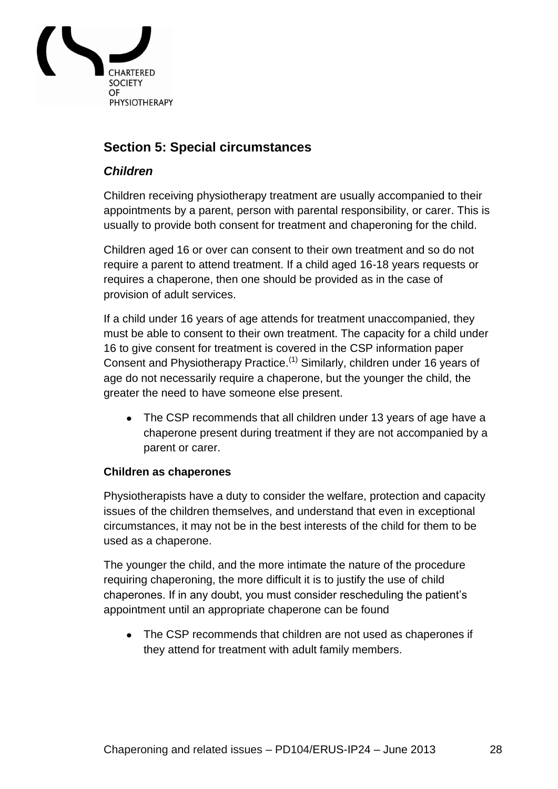

# <span id="page-27-0"></span>**Section 5: Special circumstances**

#### <span id="page-27-1"></span>*Children*

Children receiving physiotherapy treatment are usually accompanied to their appointments by a parent, person with parental responsibility, or carer. This is usually to provide both consent for treatment and chaperoning for the child.

Children aged 16 or over can consent to their own treatment and so do not require a parent to attend treatment. If a child aged 16-18 years requests or requires a chaperone, then one should be provided as in the case of provision of adult services.

If a child under 16 years of age attends for treatment unaccompanied, they must be able to consent to their own treatment. The capacity for a child under 16 to give consent for treatment is covered in the CSP information paper Consent and Physiotherapy Practice.<sup>(1)</sup> Similarly, children under 16 years of age do not necessarily require a chaperone, but the younger the child, the greater the need to have someone else present.

The CSP recommends that all children under 13 years of age have a chaperone present during treatment if they are not accompanied by a parent or carer.

#### <span id="page-27-2"></span>**Children as chaperones**

Physiotherapists have a duty to consider the welfare, protection and capacity issues of the children themselves, and understand that even in exceptional circumstances, it may not be in the best interests of the child for them to be used as a chaperone.

The younger the child, and the more intimate the nature of the procedure requiring chaperoning, the more difficult it is to justify the use of child chaperones. If in any doubt, you must consider rescheduling the patient"s appointment until an appropriate chaperone can be found

• The CSP recommends that children are not used as chaperones if they attend for treatment with adult family members.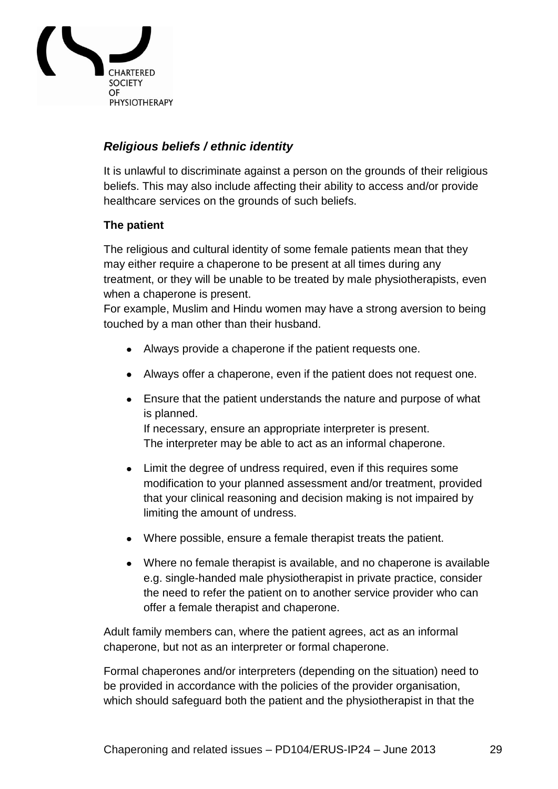

# <span id="page-28-0"></span>*Religious beliefs / ethnic identity*

It is unlawful to discriminate against a person on the grounds of their religious beliefs. This may also include affecting their ability to access and/or provide healthcare services on the grounds of such beliefs.

#### <span id="page-28-1"></span>**The patient**

The religious and cultural identity of some female patients mean that they may either require a chaperone to be present at all times during any treatment, or they will be unable to be treated by male physiotherapists, even when a chaperone is present.

For example, Muslim and Hindu women may have a strong aversion to being touched by a man other than their husband.

- Always provide a chaperone if the patient requests one.
- Always offer a chaperone, even if the patient does not request one.
- Ensure that the patient understands the nature and purpose of what is planned. If necessary, ensure an appropriate interpreter is present.

The interpreter may be able to act as an informal chaperone.

- Limit the degree of undress required, even if this requires some modification to your planned assessment and/or treatment, provided that your clinical reasoning and decision making is not impaired by limiting the amount of undress.
- Where possible, ensure a female therapist treats the patient.
- Where no female therapist is available, and no chaperone is available e.g. single-handed male physiotherapist in private practice, consider the need to refer the patient on to another service provider who can offer a female therapist and chaperone.

Adult family members can, where the patient agrees, act as an informal chaperone, but not as an interpreter or formal chaperone.

Formal chaperones and/or interpreters (depending on the situation) need to be provided in accordance with the policies of the provider organisation, which should safeguard both the patient and the physiotherapist in that the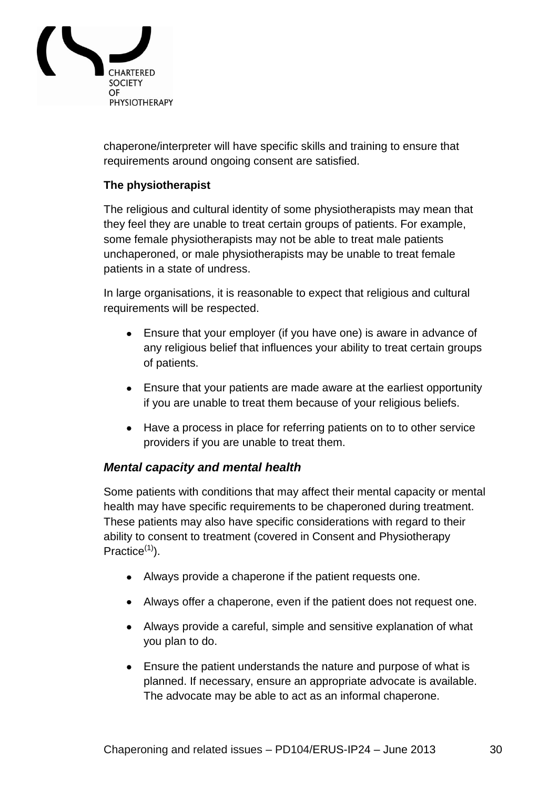

chaperone/interpreter will have specific skills and training to ensure that requirements around ongoing consent are satisfied.

### <span id="page-29-0"></span>**The physiotherapist**

The religious and cultural identity of some physiotherapists may mean that they feel they are unable to treat certain groups of patients. For example, some female physiotherapists may not be able to treat male patients unchaperoned, or male physiotherapists may be unable to treat female patients in a state of undress.

In large organisations, it is reasonable to expect that religious and cultural requirements will be respected.

- Ensure that your employer (if you have one) is aware in advance of any religious belief that influences your ability to treat certain groups of patients.
- Ensure that your patients are made aware at the earliest opportunity if you are unable to treat them because of your religious beliefs.
- Have a process in place for referring patients on to to other service providers if you are unable to treat them.

#### <span id="page-29-1"></span>*Mental capacity and mental health*

Some patients with conditions that may affect their mental capacity or mental health may have specific requirements to be chaperoned during treatment. These patients may also have specific considerations with regard to their ability to consent to treatment (covered in Consent and Physiotherapy Practice $(1)$ .

- Always provide a chaperone if the patient requests one.
- Always offer a chaperone, even if the patient does not request one.
- Always provide a careful, simple and sensitive explanation of what you plan to do.
- Ensure the patient understands the nature and purpose of what is planned. If necessary, ensure an appropriate advocate is available. The advocate may be able to act as an informal chaperone.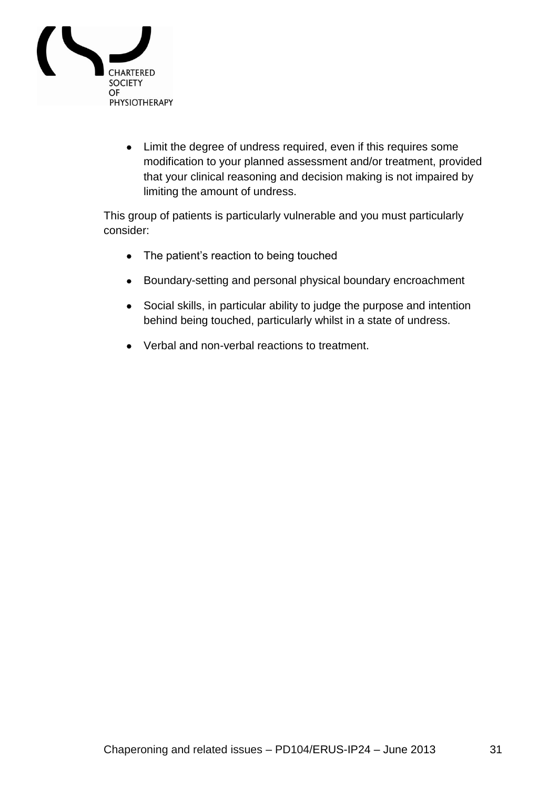

Limit the degree of undress required, even if this requires some modification to your planned assessment and/or treatment, provided that your clinical reasoning and decision making is not impaired by limiting the amount of undress.

This group of patients is particularly vulnerable and you must particularly consider:

- The patient's reaction to being touched
- Boundary-setting and personal physical boundary encroachment
- Social skills, in particular ability to judge the purpose and intention behind being touched, particularly whilst in a state of undress.
- Verbal and non-verbal reactions to treatment.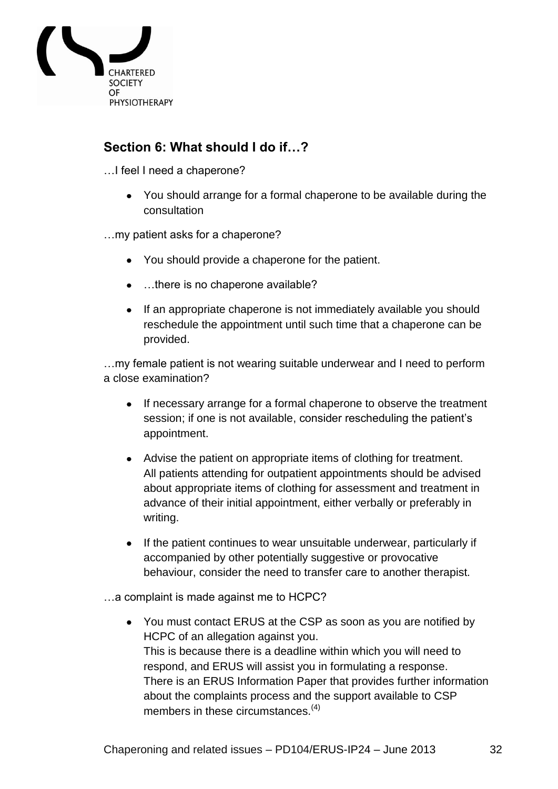

# <span id="page-31-0"></span>**Section 6: What should I do if…?**

…I feel I need a chaperone?

You should arrange for a formal chaperone to be available during the consultation

…my patient asks for a chaperone?

- You should provide a chaperone for the patient.
- ...there is no chaperone available?
- If an appropriate chaperone is not immediately available you should reschedule the appointment until such time that a chaperone can be provided.

…my female patient is not wearing suitable underwear and I need to perform a close examination?

- If necessary arrange for a formal chaperone to observe the treatment session; if one is not available, consider rescheduling the patient's appointment.
- Advise the patient on appropriate items of clothing for treatment. All patients attending for outpatient appointments should be advised about appropriate items of clothing for assessment and treatment in advance of their initial appointment, either verbally or preferably in writing.
- If the patient continues to wear unsuitable underwear, particularly if accompanied by other potentially suggestive or provocative behaviour, consider the need to transfer care to another therapist.

…a complaint is made against me to HCPC?

You must contact ERUS at the CSP as soon as you are notified by HCPC of an allegation against you. This is because there is a deadline within which you will need to respond, and ERUS will assist you in formulating a response. There is an ERUS Information Paper that provides further information about the complaints process and the support available to CSP members in these circumstances.<sup>(4)</sup>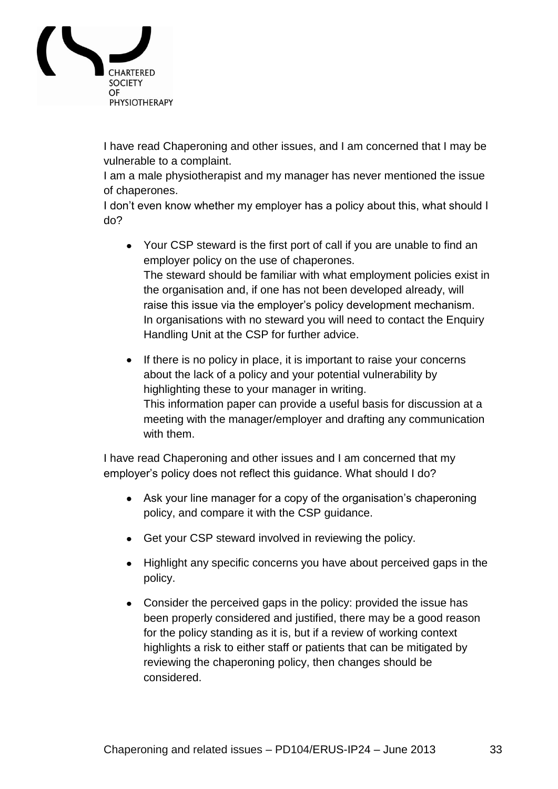

I have read Chaperoning and other issues, and I am concerned that I may be vulnerable to a complaint.

I am a male physiotherapist and my manager has never mentioned the issue of chaperones.

I don't even know whether my employer has a policy about this, what should I do?

- Your CSP steward is the first port of call if you are unable to find an employer policy on the use of chaperones. The steward should be familiar with what employment policies exist in the organisation and, if one has not been developed already, will raise this issue via the employer's policy development mechanism. In organisations with no steward you will need to contact the Enquiry Handling Unit at the CSP for further advice.
- If there is no policy in place, it is important to raise your concerns about the lack of a policy and your potential vulnerability by highlighting these to your manager in writing. This information paper can provide a useful basis for discussion at a meeting with the manager/employer and drafting any communication with them.

I have read Chaperoning and other issues and I am concerned that my employer"s policy does not reflect this guidance. What should I do?

- Ask your line manager for a copy of the organisation's chaperoning policy, and compare it with the CSP guidance.
- Get your CSP steward involved in reviewing the policy.
- Highlight any specific concerns you have about perceived gaps in the policy.
- Consider the perceived gaps in the policy: provided the issue has been properly considered and justified, there may be a good reason for the policy standing as it is, but if a review of working context highlights a risk to either staff or patients that can be mitigated by reviewing the chaperoning policy, then changes should be considered.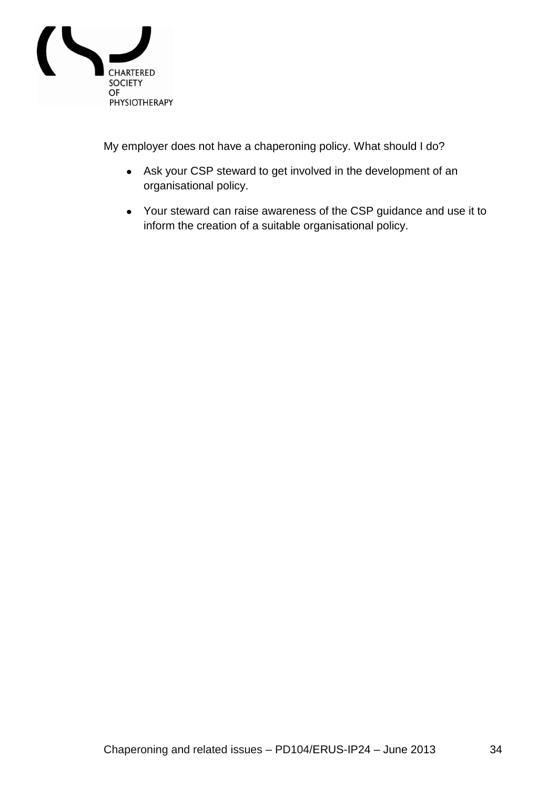

My employer does not have a chaperoning policy. What should I do?

- Ask your CSP steward to get involved in the development of an organisational policy.
- Your steward can raise awareness of the CSP guidance and use it to inform the creation of a suitable organisational policy.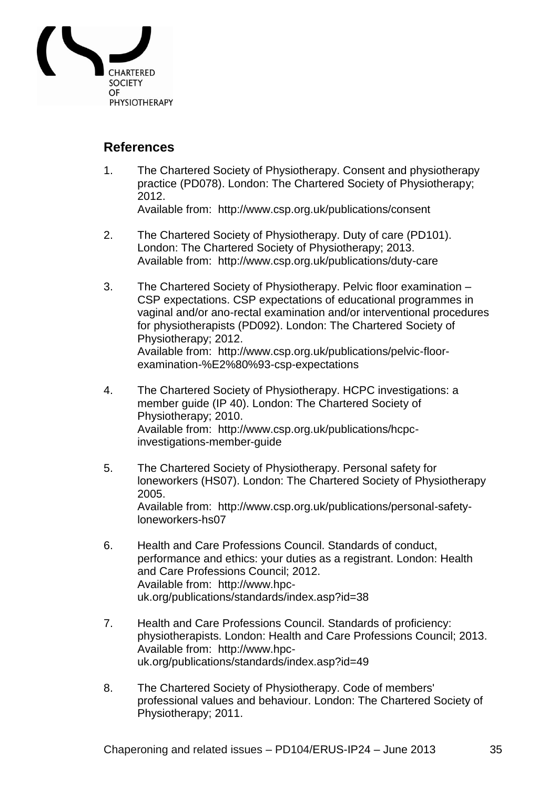

# <span id="page-34-0"></span>**References**

- 1. The Chartered Society of Physiotherapy. Consent and physiotherapy practice (PD078). London: The Chartered Society of Physiotherapy; 2012. Available from: http://www.csp.org.uk/publications/consent
- 2. The Chartered Society of Physiotherapy. Duty of care (PD101). London: The Chartered Society of Physiotherapy; 2013. Available from: http://www.csp.org.uk/publications/duty-care
- 3. The Chartered Society of Physiotherapy. Pelvic floor examination CSP expectations. CSP expectations of educational programmes in vaginal and/or ano-rectal examination and/or interventional procedures for physiotherapists (PD092). London: The Chartered Society of Physiotherapy; 2012. Available from: http://www.csp.org.uk/publications/pelvic-floorexamination-%E2%80%93-csp-expectations
- 4. The Chartered Society of Physiotherapy. HCPC investigations: a member guide (IP 40). London: The Chartered Society of Physiotherapy; 2010. Available from: http://www.csp.org.uk/publications/hcpcinvestigations-member-guide
- 5. The Chartered Society of Physiotherapy. Personal safety for loneworkers (HS07). London: The Chartered Society of Physiotherapy 2005. Available from: http://www.csp.org.uk/publications/personal-safetyloneworkers-hs07
- 6. Health and Care Professions Council. Standards of conduct, performance and ethics: your duties as a registrant. London: Health and Care Professions Council; 2012. Available from: http://www.hpcuk.org/publications/standards/index.asp?id=38
- 7. Health and Care Professions Council. Standards of proficiency: physiotherapists. London: Health and Care Professions Council; 2013. Available from: http://www.hpcuk.org/publications/standards/index.asp?id=49
- 8. The Chartered Society of Physiotherapy. Code of members' professional values and behaviour. London: The Chartered Society of Physiotherapy; 2011.